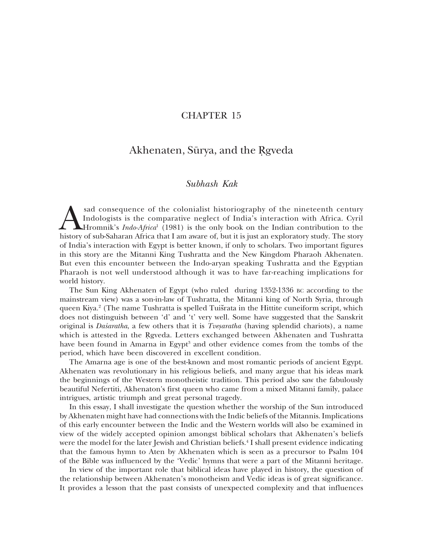## **CHAPTER 15**

# Akhenaten, Sūrya, and the Rgyeda

# Subhash Kak

sad consequence of the colonialist historiography of the nineteenth century Indologists is the comparative neglect of India's interaction with Africa. Cyril **A**Hromnik's *Indo-Africa*<sup>1</sup> (1981) is the only book on the Indian contribution to the history of sub-Saharan Africa that I am aware of, but it is just an exploratory study. The story of India's interaction with Egypt is better known, if only to scholars. Two important figures in this story are the Mitanni King Tushratta and the New Kingdom Pharaoh Akhenaten. But even this encounter between the Indo-aryan speaking Tushratta and the Egyptian Pharaoh is not well understood although it was to have far-reaching implications for world history.

The Sun King Akhenaten of Egypt (who ruled during 1352-1336 BC according to the mainstream view) was a son-in-law of Tushratta, the Mitanni king of North Syria, through queen Kiya.<sup>2</sup> (The name Tushratta is spelled Tuišrata in the Hittite cuneiform script, which does not distinguish between 'd' and 't' very well. Some have suggested that the Sanskrit original is Daśaratha, a few others that it is Tveșaratha (having splendid chariots), a name which is attested in the Rgyeda. Letters exchanged between Akhenaten and Tushratta have been found in Amarna in Egypt<sup>3</sup> and other evidence comes from the tombs of the period, which have been discovered in excellent condition.

The Amarna age is one of the best-known and most romantic periods of ancient Egypt. Akhenaten was revolutionary in his religious beliefs, and many argue that his ideas mark the beginnings of the Western monotheistic tradition. This period also saw the fabulously beautiful Nefertiti, Akhenaton's first queen who came from a mixed Mitanni family, palace intrigues, artistic triumph and great personal tragedy.

In this essay, I shall investigate the question whether the worship of the Sun introduced by Akhenaten might have had connections with the Indic beliefs of the Mitannis. Implications of this early encounter between the Indic and the Western worlds will also be examined in view of the widely accepted opinion amongst biblical scholars that Akhenaten's beliefs were the model for the later Jewish and Christian beliefs.<sup>4</sup> I shall present evidence indicating that the famous hymn to Aten by Akhenaten which is seen as a precursor to Psalm 104 of the Bible was influenced by the 'Vedic' hymns that were a part of the Mitanni heritage.

In view of the important role that biblical ideas have played in history, the question of the relationship between Akhenaten's monotheism and Vedic ideas is of great significance. It provides a lesson that the past consists of unexpected complexity and that influences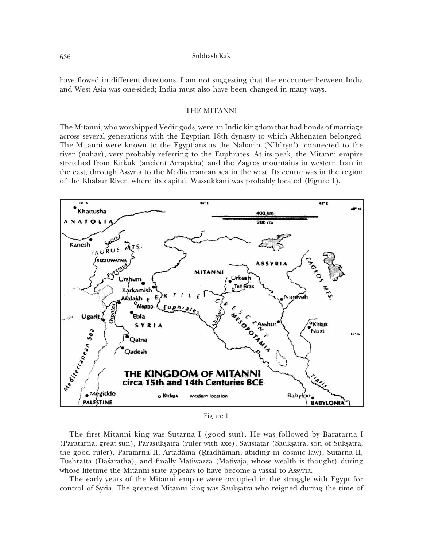have flowed in different directions. I am not suggesting that the encounter between India and West Asia was one-sided; India must also have been changed in many ways.

#### THE MITANNI

The Mitanni, who worshipped Vedic gods, were an Indic kingdom that had bonds of marriage across several generations with the Egyptian 18th dynasty to which Akhenaten belonged. The Mitanni were known to the Egyptians as the Naharin (N'h'ryn'), connected to the river (nahar), very probably referring to the Euphrates. At its peak, the Mitanni empire stretched from Kirkuk (ancient Arrapkha) and the Zagros mountains in western Iran in the east, through Assyria to the Mediterranean sea in the west. Its centre was in the region of the Khabur River, where its capital, Wassukkani was probably located (Figure 1).



Figure 1

The first Mitanni king was Sutarna I (good sun). He was followed by Baratarna I (Paratarna, great sun), Parasuksatra (ruler with axe), Saustatar (Sauksatra, son of Suksatra, the good ruler). Paratarna II, Artadāma (Rtadhāman, abiding in cosmic law), Sutarna II, Tushratta (Daśaratha), and finally Matiwazza (Mativāja, whose wealth is thought) during whose lifetime the Mitanni state appears to have become a vassal to Assyria.

The early years of the Mitanni empire were occupied in the struggle with Egypt for control of Syria. The greatest Mitanni king was Sauksatra who reigned during the time of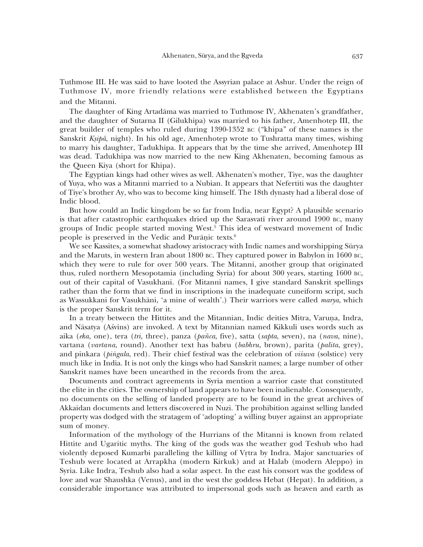Tuthmose III. He was said to have looted the Assyrian palace at Ashur. Under the reign of Tuthmose IV, more friendly relations were established between the Egyptians and the Mitanni.

The daughter of King Artadāma was married to Tuthmose IV, Akhenaten's grandfather, and the daughter of Sutarna II (Gilukhipa) was married to his father, Amenhotep III, the great builder of temples who ruled during 1390-1352 BC ("khipa" of these names is the Sanskrit Ksipā, night). In his old age, Amenhotep wrote to Tushratta many times, wishing to marry his daughter, Tadukhipa. It appears that by the time she arrived, Amenhotep III was dead. Tadukhipa was now married to the new King Akhenaten, becoming famous as the Queen Kiya (short for Khipa).

The Egyptian kings had other wives as well. Akhenaten's mother, Tiye, was the daughter of Yuya, who was a Mitanni married to a Nubian. It appears that Nefertiti was the daughter of Tiye's brother Ay, who was to become king himself. The 18th dynasty had a liberal dose of Indic blood.

But how could an Indic kingdom be so far from India, near Egypt? A plausible scenario is that after catastrophic earthquakes dried up the Sarasvati river around 1900 BC, many groups of Indic people started moving West.<sup>5</sup> This idea of westward movement of Indic people is preserved in the Vedic and Puranic texts.<sup>6</sup>

We see Kassites, a somewhat shadowy aristocracy with Indic names and worshipping Sūrya and the Maruts, in western Iran about 1800 BC. They captured power in Babylon in 1600 BC, which they were to rule for over 500 years. The Mitanni, another group that originated thus, ruled northern Mesopotamia (including Syria) for about 300 years, starting 1600 BC, out of their capital of Vasukhani. (For Mitanni names, I give standard Sanskrit spellings rather than the form that we find in inscriptions in the inadequate cuneiform script, such as Wassukkani for Vasukhāni, 'a mine of wealth'.) Their warriors were called marya, which is the proper Sanskrit term for it.

In a treaty between the Hittites and the Mitannian, Indic deities Mitra, Varuna, Indra, and Nāsatya (Aśvins) are invoked. A text by Mitannian named Kikkuli uses words such as aika (eka, one), tera (tri, three), panza (pañca, five), satta (sapta, seven), na (nava, nine), vartana (vartana, round). Another text has babru (babhru, brown), parita (palita, grey), and pinkara (*pingala,* red). Their chief festival was the celebration of *visuva* (solstice) very much like in India. It is not only the kings who had Sanskrit names; a large number of other Sanskrit names have been unearthed in the records from the area.

Documents and contract agreements in Syria mention a warrior caste that constituted the elite in the cities. The ownership of land appears to have been inalienable. Consequently, no documents on the selling of landed property are to be found in the great archives of Akkaidan documents and letters discovered in Nuzi. The prohibition against selling landed property was dodged with the stratagem of 'adopting' a willing buyer against an appropriate sum of money.

Information of the mythology of the Hurrians of the Mitanni is known from related Hittite and Ugaritic myths. The king of the gods was the weather god Teshub who had violently deposed Kumarbi paralleling the killing of Vrtra by Indra. Major sanctuaries of Teshub were located at Arrapkha (modern Kirkuk) and at Halab (modern Aleppo) in Syria. Like Indra, Teshub also had a solar aspect. In the east his consort was the goddess of love and war Shaushka (Venus), and in the west the goddess Hebat (Hepat). In addition, a considerable importance was attributed to impersonal gods such as heaven and earth as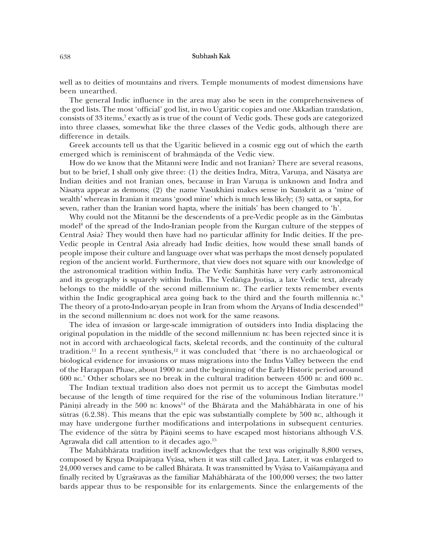well as to deities of mountains and rivers. Temple monuments of modest dimensions have been unearthed.

The general Indic influence in the area may also be seen in the comprehensiveness of the god lists. The most 'official' god list, in two Ugaritic copies and one Akkadian translation, consists of 33 items,<sup>7</sup> exactly as is true of the count of Vedic gods. These gods are categorized into three classes, somewhat like the three classes of the Vedic gods, although there are difference in details.

Greek accounts tell us that the Ugaritic believed in a cosmic egg out of which the earth emerged which is reminiscent of brahmanda of the Vedic view.

How do we know that the Mitanni were Indic and not Iranian? There are several reasons, but to be brief, I shall only give three: (1) the deities Indra, Mitra, Varuna, and Nāsatya are Indian deities and not Iranian ones, because in Iran Varuna is unknown and Indra and Nāsatya appear as demons; (2) the name Vasukhāni makes sense in Sanskrit as a 'mine of wealth' whereas in Iranian it means 'good mine' which is much less likely; (3) satta, or sapta, for seven, rather than the Iranian word hapta, where the initials' has been changed to 'h'.

Why could not the Mitanni be the descendents of a pre-Vedic people as in the Gimbutas model<sup>8</sup> of the spread of the Indo-Iranian people from the Kurgan culture of the steppes of Central Asia? They would then have had no particular affinity for Indic deities. If the pre-Vedic people in Central Asia already had Indic deities, how would these small bands of people impose their culture and language over what was perhaps the most densely populated region of the ancient world. Furthermore, that view does not square with our knowledge of the astronomical tradition within India. The Vedic Samhitas have very early astronomical and its geography is squarely within India. The Vedanga Jyotisa, a late Vedic text, already belongs to the middle of the second millennium BC. The earlier texts remember events within the Indic geographical area going back to the third and the fourth millennia  $BC^9$ The theory of a proto-Indo-aryan people in Iran from whom the Aryans of India descended<sup>10</sup> in the second millennium BC does not work for the same reasons.

The idea of invasion or large-scale immigration of outsiders into India displacing the original population in the middle of the second millennium BC has been rejected since it is not in accord with archaeological facts, skeletal records, and the continuity of the cultural tradition.<sup>11</sup> In a recent synthesis,<sup>12</sup> it was concluded that 'there is no archaeological or biological evidence for invasions or mass migrations into the Indus Valley between the end of the Harappan Phase, about 1900 BC and the beginning of the Early Historic period around 600 вс.' Other scholars see no break in the cultural tradition between 4500 вс and 600 вс.

The Indian textual tradition also does not permit us to accept the Gimbutas model because of the length of time required for the rise of the voluminous Indian literature.<sup>13</sup> Pāniņi already in the 500  $\rm{gc}$  knows<sup>14</sup> of the Bhārata and the Mahābhārata in one of his sūtras (6.2.38). This means that the epic was substantially complete by 500 BC, although it may have undergone further modifications and interpolations in subsequent centuries. The evidence of the sūtra by Pāṇini seems to have escaped most historians although V.S. Agrawala did call attention to it decades ago.<sup>15</sup>

The Mahābhārata tradition itself acknowledges that the text was originally 8,800 verses, composed by Krsna Dvaipāyana Vyāsa, when it was still called Jaya. Later, it was enlarged to 24,000 verses and came to be called Bhārata. It was transmitted by Vyāsa to Vaisampāyana and finally recited by Ugraśravas as the familiar Mahābhārata of the 100,000 verses; the two latter bards appear thus to be responsible for its enlargements. Since the enlargements of the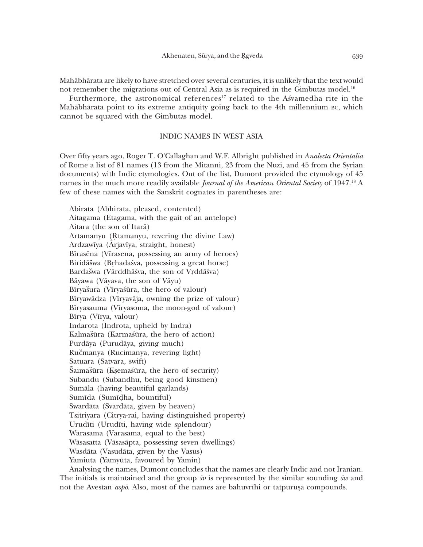Mahābhārata are likely to have stretched over several centuries, it is unlikely that the text would not remember the migrations out of Central Asia as is required in the Gimbutas model.<sup>16</sup>

Furthermore, the astronomical references<sup>17</sup> related to the Asvamedha rite in the Mahābhārata point to its extreme antiquity going back to the 4th millennium BC, which cannot be squared with the Gimbutas model.

## INDIC NAMES IN WEST ASIA

Over fifty years ago, Roger T. O'Callaghan and W.F. Albright published in Analecta Orientalia of Rome a list of 81 names (13 from the Mitanni, 23 from the Nuzi, and 45 from the Syrian documents) with Indic etymologies. Out of the list, Dumont provided the etymology of 45 names in the much more readily available *Journal of the American Oriental Society* of 1947.<sup>18</sup> A few of these names with the Sanskrit cognates in parentheses are:

Abirata (Abhirata, pleased, contented) Aitagama (Etagama, with the gait of an antelope) Aitara (the son of Itara) Artamanyu (Rtamanyu, revering the divine Law) Ardzawīya (Ārjavīya, straight, honest) Bīrasēna (Vīrasena, possessing an army of heroes) Biridāšwa (Brhadaśva, possessing a great horse) Bardašwa (Vārddhāśva, the son of Vrddāśva) Bāyawa (Vāyava, the son of Vāyu) Bīryašura (Vīryašūra, the hero of valour) Bīryawādza (Vīryavāja, owning the prize of valour) Bīryasauma (Vīryasoma, the moon-god of valour) Bīrya (Vīrya, valour) Indarota (Indrota, upheld by Indra) Kalmašūra (Karmaśūra, the hero of action) Purdāya (Purudāya, giving much) Ručmanya (Rucimanya, revering light) Satuara (Satvara, swift) Šaimašūra (Ksemaśūra, the hero of security) Subandu (Subandhu, being good kinsmen) Sumāla (having beautiful garlands) Sumīda (Sumīdha, bountiful) Swardāta (Svardāta, given by heaven) Tsitriyara (Citrya-rai, having distinguished property) Urudīti (Urudīti, having wide splendour) Warasama (Varasama, equal to the best) Wāsasatta (Vāsasāpta, possessing seven dwellings) Wasdāta (Vasudāta, given by the Vasus) Yamiuta (Yamyūta, favoured by Yamin)

Analysing the names, Dumont concludes that the names are clearly Indic and not Iranian. The initials is maintained and the group  $\dot{x}v$  is represented by the similar sounding  $\ddot{x}w$  and not the Avestan *aspo*. Also, most of the names are bahuvrihi or tatpurusa compounds.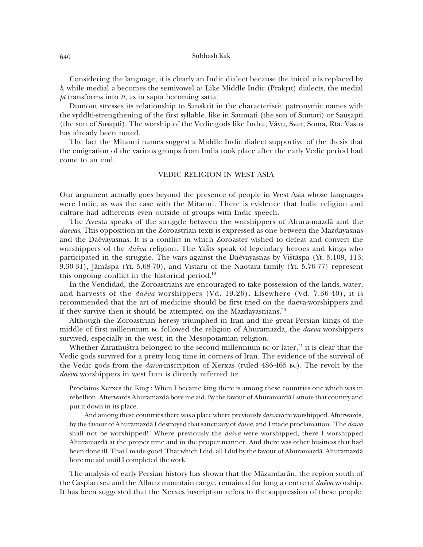Considering the language, it is clearly an Indic dialect because the initial  $\dot{v}$  is replaced by b, while medial v becomes the semivowel w. Like Middle Indic (Prākrīt) dialects, the medial  $pt$  transforms into  $tt$ , as in sapta becoming satta.

Dumont stresses its relationship to Sanskrit in the characteristic patronymic names with the vrddhi-strengthening of the first syllable, like in Saumati (the son of Sumati) or Sausapti (the son of Susapti). The worship of the Vedic gods like Indra, Vāyu, Svar, Soma, Rta, Vasus has already been noted.

The fact the Mitanni names suggest a Middle Indic dialect supportive of the thesis that the emigration of the various groups from India took place after the early Vedic period had come to an end.

## **VEDIC RELIGION IN WEST ASIA**

Our argument actually goes beyond the presence of people in West Asia whose languages were Indic, as was the case with the Mitanni. There is evidence that Indic religion and culture had adherents even outside of groups with Indic speech.

The Avesta speaks of the struggle between the worshippers of Ahura-mazda and the *daevas*. This opposition in the Zoroastrian texts is expressed as one between the Mazdayasnas and the Daevayasnas. It is a conflict in which Zoroaster wished to defeat and convert the worshippers of the *daeva* religion. The Yasts speak of legendary heroes and kings who participated in the struggle. The wars against the Daevayasnas by Vištāspa (Yt. 5.109, 113; 9.30-31), Jāmāspa (Yt. 5.68-70), and Vistaru of the Naotara family (Yt. 5.76-77) represent this ongoing conflict in the historical period.<sup>19</sup>

In the Vendidad, the Zoroastrians are encouraged to take possession of the lands, water, and harvests of the *daeva* worshippers (Vd. 19.26). Elsewhere (Vd. 7.36-40), it is recommended that the art of medicine should be first tried on the daeva-worshippers and if they survive then it should be attempted on the Mazdayasnians.<sup>20</sup>

Although the Zoroastrian heresy triumphed in Iran and the great Persian kings of the middle of first millennium BC followed the religion of Ahuramazda, the  $da\bar{e}va$  worshippers survived, especially in the west, in the Mesopotamian religion.

Whether Zarathuštra belonged to the second millennium BC or later,<sup>21</sup> it is clear that the Vedic gods survived for a pretty long time in corners of Iran. The evidence of the survival of the Vedic gods from the *daiva*-inscription of Xerxas (ruled 486-465 BC). The revolt by the daēva worshippers in west Iran is directly referred to:

Proclaims Xerxes the King: When I became king there is among these countries one which was in rebellion. Afterwards Ahuramazdā bore me aid. By the favour of Ahuramazdā I smote that country and put it down in its place.

And among these countries there was a place where previously *daiva* were worshipped. Afterwards, by the favour of Ahuramazda I destroyed that sanctuary of daiva, and I made proclamation. 'The daiva shall not be worshipped!' Where previously the *daiva* were worshipped, there I worshipped Ahuramazdā at the proper time and in the proper manner. And there was other business that had been done ill. That I made good. That which I did, all I did by the favour of Ahuramazdā. Ahuramazdā bore me aid until I completed the work.

The analysis of early Persian history has shown that the Māzandarān, the region south of the Caspian sea and the Alburz mountain range, remained for long a centre of  $da\bar{e}va$  worship. It has been suggested that the Xerxes inscription refers to the suppression of these people.

640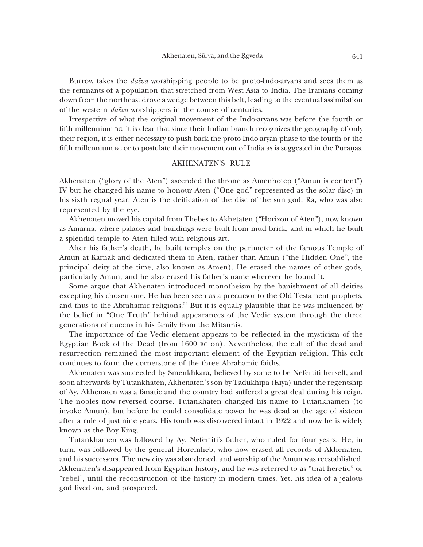Burrow takes the *daeva* worshipping people to be proto-Indo-aryans and sees them as the remnants of a population that stretched from West Asia to India. The Iranians coming down from the northeast drove a wedge between this belt, leading to the eventual assimilation of the western *daēva* worshippers in the course of centuries.

Irrespective of what the original movement of the Indo-aryans was before the fourth or fifth millennium BC, it is clear that since their Indian branch recognizes the geography of only their region, it is either necessary to push back the proto-Indo-aryan phase to the fourth or the fifth millennium BC or to postulate their movement out of India as is suggested in the Puranas.

## **AKHENATEN'S RULE**

Akhenaten ("glory of the Aten") ascended the throne as Amenhotep ("Amun is content") IV but he changed his name to honour Aten ("One god" represented as the solar disc) in his sixth regnal year. Aten is the deification of the disc of the sun god, Ra, who was also represented by the eye.

Akhenaten moved his capital from Thebes to Akhetaten ("Horizon of Aten"), now known as Amarna, where palaces and buildings were built from mud brick, and in which he built a splendid temple to Aten filled with religious art.

After his father's death, he built temples on the perimeter of the famous Temple of Amun at Karnak and dedicated them to Aten, rather than Amun ("the Hidden One", the principal deity at the time, also known as Amen). He erased the names of other gods, particularly Amun, and he also erased his father's name wherever he found it.

Some argue that Akhenaten introduced monotheism by the banishment of all deities excepting his chosen one. He has been seen as a precursor to the Old Testament prophets, and thus to the Abrahamic religions.<sup>22</sup> But it is equally plausible that he was influenced by the belief in "One Truth" behind appearances of the Vedic system through the three generations of queens in his family from the Mitannis.

The importance of the Vedic element appears to be reflected in the mysticism of the Egyptian Book of the Dead (from 1600 вс on). Nevertheless, the cult of the dead and resurrection remained the most important element of the Egyptian religion. This cult continues to form the cornerstone of the three Abrahamic faiths.

Akhenaten was succeeded by Smenkhkara, believed by some to be Nefertiti herself, and soon afterwards by Tutankhaten, Akhenaten's son by Tadukhipa (Kiya) under the regentship of Ay. Akhenaten was a fanatic and the country had suffered a great deal during his reign. The nobles now reversed course. Tutankhaten changed his name to Tutankhamen (to invoke Amun), but before he could consolidate power he was dead at the age of sixteen after a rule of just nine years. His tomb was discovered intact in 1922 and now he is widely known as the Boy King.

Tutankhamen was followed by Ay, Nefertiti's father, who ruled for four years. He, in turn, was followed by the general Horemheb, who now erased all records of Akhenaten, and his successors. The new city was abandoned, and worship of the Amun was reestablished. Akhenaten's disappeared from Egyptian history, and he was referred to as "that heretic" or "rebel", until the reconstruction of the history in modern times. Yet, his idea of a jealous god lived on, and prospered.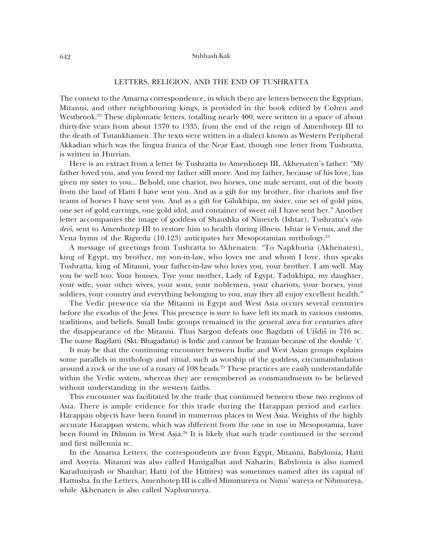## LETTERS, RELIGION, AND THE END OF TUSHRATTA

The context to the Amarna correspondence, in which there are letters between the Egyptian, Mitanni, and other neighbouring kings, is provided in the book edited by Cohen and Westbrook.<sup>23</sup> These diplomatic letters, totalling nearly 400, were written in a space of about thirty-five years from about 1370 to 1335, from the end of the reign of Amenhotep III to the death of Tutankhamen. The texts were written in a dialect known as Western Peripheral Akkadian which was the lingua franca of the Near East, though one letter from Tushratta, is written in Hurrian.

Here is an extract from a letter by Tushratta to Amenhotep III, Akhenaten's father: "My father loved you, and you loved my father still more. And my father, because of his love, has given my sister to you... Behold, one chariot, two horses, one male servant, out of the booty from the land of Hatti I have sent you. And as a gift for my brother, five chariots and five teams of horses I have sent you. And as a gift for Gilukhipa, my sister, one set of gold pins, one set of gold earrings, one gold idol, and container of sweet oil I have sent her." Another letter accompanies the image of goddess of Shaushka of Nineveh (Ishtar), Tushratta's ista*devi*, sent to Amenhotep III to restore him to health during illness. Ishtar is Venus, and the Vena hymn of the Rigveda (10.123) anticipates her Mesopotamian mythology. $^{24}$ 

A message of greetings from Tushratta to Akhenaten: "To Napkhuria (Akhenaten), king of Egypt, my brother, my son-in-law, who loves me and whom I love, thus speaks Tushratta, king of Mitanni, your father-in-law who loves you, your brother. I am well. May you be well too. Your houses, Tiye your mother, Lady of Egypt, Tadukhipa, my daughter, your wife, your other wives, your sons, your noblemen, your chariots, your horses, your soldiers, your country and everything belonging to you, may they all enjoy excellent health."

The Vedic presence via the Mitanni in Egypt and West Asia occurs several centuries before the exodus of the Jews. This presence is sure to have left its mark in various customs, traditions, and beliefs. Small Indic groups remained in the general area for centuries after the disappearance of the Mitanni. Thus Sargon defeats one Bagdatti of Uišdiš in 716 BC. The name Bagdatti (Skt. Bhagadatta) is Indic and cannot be Iranian because of the double 't'.

It may be that the continuing encounter between Indic and West Asian groups explains some parallels in mythology and ritual, such as worship of the goddess, circumambulation around a rock or the use of a rosary of 108 beads.<sup>25</sup> These practices are easily understandable within the Vedic system, whereas they are remembered as commandments to be believed without understanding in the western faiths.

This encounter was facilitated by the trade that continued between these two regions of Asia. There is ample evidence for this trade during the Harappan period and earlier. Harappan objects have been found in numerous places in West Asia. Weights of the highly accurate Harappan system, which was different from the one in use in Mesopotamia, have been found in Dilmun in West Asia.<sup>26</sup> It is likely that such trade continued in the second and first millennia BC.

In the Amarna Letters, the correspondents are from Egypt, Mitanni, Babylonia, Hatti and Assyria. Mitanni was also called Hanigalbat and Naharin; Babylonia is also named Karaduniyash or Shanhar; Hatti (of the Hittites) was sometimes named after its capital of Hattusha. In the Letters, Amenhotep III is called Mimmureya or Nimu' wareya or Nibmureya, while Akhenaten is also called Naphurureya.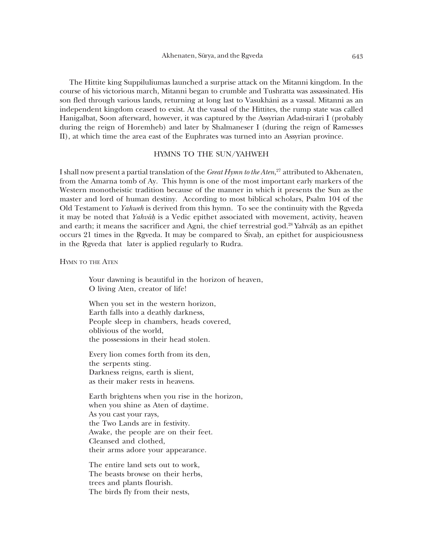The Hittite king Suppiluliumas launched a surprise attack on the Mitanni kingdom. In the course of his victorious march, Mitanni began to crumble and Tushratta was assassinated. His son fled through various lands, returning at long last to Vasukhani as a vassal. Mitanni as an independent kingdom ceased to exist. At the vassal of the Hittites, the rump state was called Hanigalbat, Soon afterward, however, it was captured by the Assyrian Adad-nirari I (probably during the reign of Horemheb) and later by Shalmaneser I (during the reign of Ramesses II), at which time the area east of the Euphrates was turned into an Assyrian province.

#### HYMNS TO THE SUN/YAHWEH

I shall now present a partial translation of the Great Hymn to the Aten,<sup>27</sup> attributed to Akhenaten, from the Amarna tomb of Ay. This hymn is one of the most important early markers of the Western monotheistic tradition because of the manner in which it presents the Sun as the master and lord of human destiny. According to most biblical scholars, Psalm 104 of the Old Testament to *Yahweh* is derived from this hymn. To see the continuity with the Reyeda it may be noted that *Yahváh* is a Vedic epithet associated with movement, activity, heaven and earth; it means the sacrificer and Agni, the chief terrestrial god.<sup>28</sup> Yahváh as an epithet occurs 21 times in the Rgveda. It may be compared to Sivah, an epithet for auspiciousness in the Rgveda that later is applied regularly to Rudra.

**HYMN TO THE ATEN** 

Your dawning is beautiful in the horizon of heaven, O living Aten, creator of life!

When you set in the western horizon, Earth falls into a deathly darkness, People sleep in chambers, heads covered, oblivious of the world, the possessions in their head stolen.

Every lion comes forth from its den, the serpents sting. Darkness reigns, earth is slient, as their maker rests in heavens.

Earth brightens when you rise in the horizon, when you shine as Aten of daytime. As you cast your rays, the Two Lands are in festivity. Awake, the people are on their feet. Cleansed and clothed, their arms adore your appearance.

The entire land sets out to work. The beasts browse on their herbs, trees and plants flourish. The birds fly from their nests,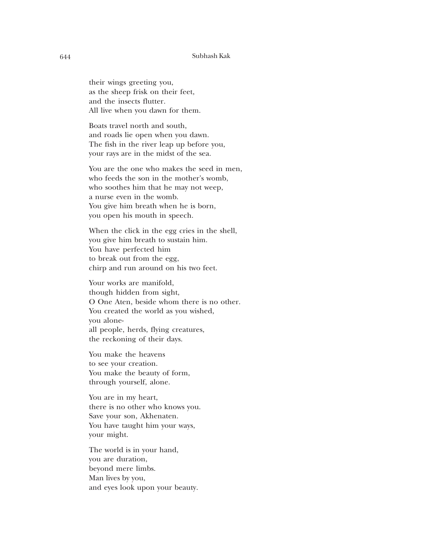their wings greeting you, as the sheep frisk on their feet, and the insects flutter. All live when you dawn for them.

Boats travel north and south, and roads lie open when you dawn. The fish in the river leap up before you, your rays are in the midst of the sea.

You are the one who makes the seed in men, who feeds the son in the mother's womb, who soothes him that he may not weep, a nurse even in the womb. You give him breath when he is born, you open his mouth in speech.

When the click in the egg cries in the shell, you give him breath to sustain him. You have perfected him to break out from the egg, chirp and run around on his two feet.

Your works are manifold, though hidden from sight, O One Aten, beside whom there is no other. You created the world as you wished, you aloneall people, herds, flying creatures, the reckoning of their days.

You make the heavens to see your creation. You make the beauty of form, through yourself, alone.

You are in my heart, there is no other who knows you. Save your son, Akhenaten. You have taught him your ways, your might.

The world is in your hand, you are duration, beyond mere limbs. Man lives by you, and eyes look upon your beauty.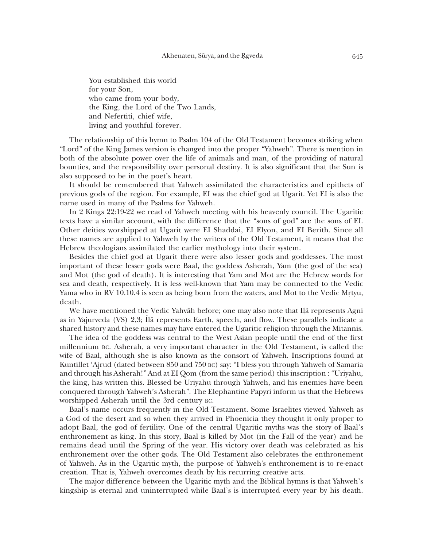You established this world for your Son, who came from your body, the King, the Lord of the Two Lands, and Nefertiti, chief wife, living and youthful forever.

The relationship of this hymn to Psalm 104 of the Old Testament becomes striking when "Lord" of the King James version is changed into the proper "Yahweh". There is mention in both of the absolute power over the life of animals and man, of the providing of natural bounties, and the responsibility over personal destiny. It is also significant that the Sun is also supposed to be in the poet's heart.

It should be remembered that Yahweh assimilated the characteristics and epithets of previous gods of the region. For example, EI was the chief god at Ugarit. Yet EI is also the name used in many of the Psalms for Yahweh.

In 2 Kings 22:19-22 we read of Yahweh meeting with his heavenly council. The Ugaritic texts have a similar account, with the difference that the "sons of god" are the sons of EI. Other deities worshipped at Ugarit were EI Shaddai, EI Elyon, and EI Berith. Since all these names are applied to Yahweh by the writers of the Old Testament, it means that the Hebrew theologians assimilated the earlier mythology into their system.

Besides the chief god at Ugarit there were also lesser gods and goddesses. The most important of these lesser gods were Baal, the goddess Asherah, Yam (the god of the sea) and Mot (the god of death). It is interesting that Yam and Mot are the Hebrew words for sea and death, respectively. It is less well-known that Yam may be connected to the Vedic Yama who in RV 10.10.4 is seen as being born from the waters, and Mot to the Vedic Mrtyu, death.

We have mentioned the Vedic Yahvāh before; one may also note that Ilá represents Agni as in Yajurveda (VS) 2,3; 1 a represents Earth, speech, and flow. These parallels indicate a shared history and these names may have entered the Ugaritic religion through the Mitannis.

The idea of the goddess was central to the West Asian people until the end of the first millennium BC. Asherah, a very important character in the Old Testament, is called the wife of Baal, although she is also known as the consort of Yahweh. Inscriptions found at Kuntillet 'Ajrud (dated between 850 and 750 BC) say: "I bless you through Yahweh of Samaria and through his Asherah!" And at EI Oom (from the same period) this inscription: "Uriyahu, the king, has written this. Blessed be Uriyahu through Yahweh, and his enemies have been conquered through Yahweh's Asherah". The Elephantine Papyri inform us that the Hebrews worshipped Asherah until the 3rd century BC.

Baal's name occurs frequently in the Old Testament. Some Israelites viewed Yahweh as a God of the desert and so when they arrived in Phoenicia they thought it only proper to adopt Baal, the god of fertility. One of the central Ugaritic myths was the story of Baal's enthronement as king. In this story, Baal is killed by Mot (in the Fall of the year) and he remains dead until the Spring of the year. His victory over death was celebrated as his enthronement over the other gods. The Old Testament also celebrates the enthronement of Yahweh. As in the Ugaritic myth, the purpose of Yahweh's enthronement is to re-enact creation. That is, Yahweh overcomes death by his recurring creative acts.

The major difference between the Ugaritic myth and the Biblical hymns is that Yahweh's kingship is eternal and uninterrupted while Baal's is interrupted every year by his death.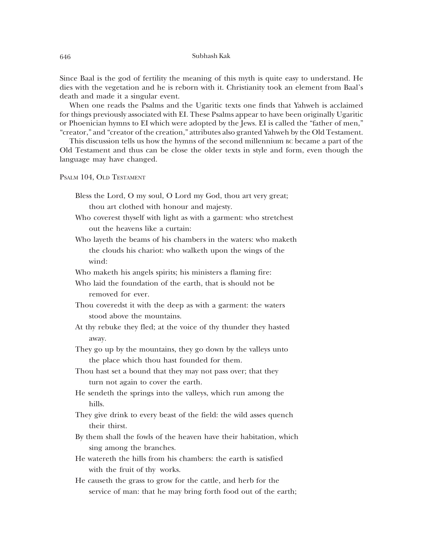Since Baal is the god of fertility the meaning of this myth is quite easy to understand. He dies with the vegetation and he is reborn with it. Christianity took an element from Baal's death and made it a singular event.

When one reads the Psalms and the Ugaritic texts one finds that Yahweh is acclaimed for things previously associated with EI. These Psalms appear to have been originally Ugaritic or Phoenician hymns to EI which were adopted by the Jews. EI is called the "father of men," "creator," and "creator of the creation," attributes also granted Yahweh by the Old Testament.

This discussion tells us how the hymns of the second millennium BC became a part of the Old Testament and thus can be close the older texts in style and form, even though the language may have changed.

PSALM 104, OLD TESTAMENT

- Bless the Lord, O my soul, O Lord my God, thou art very great; thou art clothed with honour and majesty.
- Who coverest thyself with light as with a garment: who stretchest out the heavens like a curtain:
- Who layeth the beams of his chambers in the waters: who maketh the clouds his chariot: who walketh upon the wings of the wind:
- Who maketh his angels spirits; his ministers a flaming fire:
- Who laid the foundation of the earth, that is should not be removed for ever.
- Thou coveredst it with the deep as with a garment: the waters stood above the mountains.
- At thy rebuke they fled; at the voice of thy thunder they hasted away.
- They go up by the mountains, they go down by the valleys unto the place which thou hast founded for them.
- Thou hast set a bound that they may not pass over; that they turn not again to cover the earth.
- He sendeth the springs into the valleys, which run among the hills.
- They give drink to every beast of the field: the wild asses quench their thirst.
- By them shall the fowls of the heaven have their habitation, which sing among the branches.
- He watereth the hills from his chambers: the earth is satisfied with the fruit of thy works.
- He cause th the grass to grow for the cattle, and herb for the service of man: that he may bring forth food out of the earth;

646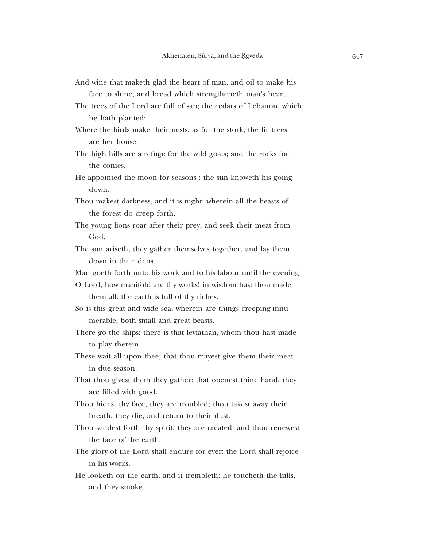- And wine that maketh glad the heart of man, and oil to make his face to shine, and bread which strengtheneth man's heart.
- The trees of the Lord are full of sap; the cedars of Lebanon, which he hath planted;
- Where the birds make their nests: as for the stork, the fir trees are her house.
- The high hills are a refuge for the wild goats; and the rocks for the conies.
- He appointed the moon for seasons : the sun knoweth his going down.
- Thou makest darkness, and it is night: wherein all the beasts of the forest do creep forth.
- The young lions roar after their prey, and seek their meat from God.
- The sun ariseth, they gather themselves together, and lay them down in their dens.
- Man goeth forth unto his work and to his labour until the evening.
- O Lord, how manifold are thy works! in wisdom hast thou made them all: the earth is full of thy riches.
- So is this great and wide sea, wherein are things creeping-innu merable, both small and great beasts.
- There go the ships: there is that leviathan, whom thou hast made to play therein.
- These wait all upon thee; that thou may est give them their meat in due season.
- That thou givest them they gather: that openest thine hand, they are filled with good.
- Thou hidest thy face, they are troubled; thou takest away their breath, they die, and return to their dust.
- Thou sendest forth thy spirit, they are created: and thou renewest the face of the earth.
- The glory of the Lord shall endure for ever: the Lord shall rejoice in his works.
- He looketh on the earth, and it trembleth: he toucheth the hills, and they smoke.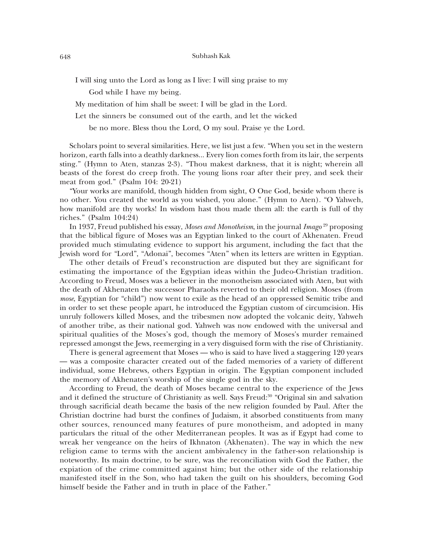I will sing unto the Lord as long as I live: I will sing praise to my

God while I have my being.

My meditation of him shall be sweet: I will be glad in the Lord.

Let the sinners be consumed out of the earth, and let the wicked

be no more. Bless thou the Lord, O my soul. Praise ye the Lord.

Scholars point to several similarities. Here, we list just a few. "When you set in the western horizon, earth falls into a deathly darkness... Every lion comes forth from its lair, the serpents sting." (Hymn to Aten, stanzas 2-3). "Thou makest darkness, that it is night; wherein all beasts of the forest do creep froth. The young lions roar after their prey, and seek their meat from god." (Psalm 104: 20-21)

"Your works are manifold, though hidden from sight, O One God, beside whom there is no other. You created the world as you wished, you alone." (Hymn to Aten). "O Yahweh, how manifold are thy works! In wisdom hast thou made them all: the earth is full of thy riches." (Psalm  $104:24$ )

In 1937, Freud published his essay, Moses and Monotheism, in the journal Imago<sup>29</sup> proposing that the biblical figure of Moses was an Egyptian linked to the court of Akhenaten. Freud provided much stimulating evidence to support his argument, including the fact that the Jewish word for "Lord", "Adonai", becomes "Aten" when its letters are written in Egyptian.

The other details of Freud's reconstruction are disputed but they are significant for estimating the importance of the Egyptian ideas within the Judeo-Christian tradition. According to Freud, Moses was a believer in the monotheism associated with Aten, but with the death of Akhenaten the successor Pharaohs reverted to their old religion. Moses (from *mose*, Egyptian for "child") now went to exile as the head of an oppressed Semitic tribe and in order to set these people apart, he introduced the Egyptian custom of circumcision. His unruly followers killed Moses, and the tribesmen now adopted the volcanic deity, Yahweh of another tribe, as their national god. Yahweh was now endowed with the universal and spiritual qualities of the Moses's god, though the memory of Moses's murder remained repressed amongst the Jews, reemerging in a very disguised form with the rise of Christianity.

There is general agreement that Moses — who is said to have lived a staggering 120 years — was a composite character created out of the faded memories of a variety of different individual, some Hebrews, others Egyptian in origin. The Egyptian component included the memory of Akhenaten's worship of the single god in the sky.

According to Freud, the death of Moses became central to the experience of the Jews and it defined the structure of Christianity as well. Says Freud:<sup>30</sup> "Original sin and salvation" through sacrificial death became the basis of the new religion founded by Paul. After the Christian doctrine had burst the confines of Judaism, it absorbed constituents from many other sources, renounced many features of pure monotheism, and adopted in many particulars the ritual of the other Mediterranean peoples. It was as if Egypt had come to wreak her vengeance on the heirs of Ikhnaton (Akhenaten). The way in which the new religion came to terms with the ancient ambivalency in the father-son relationship is noteworthy. Its main doctrine, to be sure, was the reconciliation with God the Father, the explation of the crime committed against him; but the other side of the relationship manifested itself in the Son, who had taken the guilt on his shoulders, becoming God himself beside the Father and in truth in place of the Father."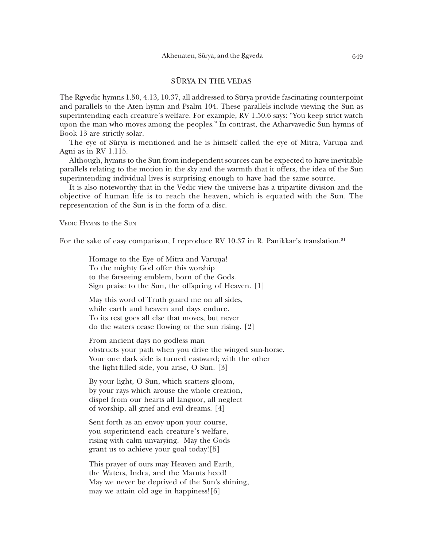# SŪRYA IN THE VEDAS

The Revedic hymns 1.50, 4.13, 10.37, all addressed to Sūrya provide fascinating counterpoint and parallels to the Aten hymn and Psalm 104. These parallels include viewing the Sun as superintending each creature's welfare. For example, RV 1.50.6 says: "You keep strict watch upon the man who moves among the peoples." In contrast, the Atharvavedic Sun hymns of Book 13 are strictly solar.

The eye of Sūrya is mentioned and he is himself called the eye of Mitra, Varuna and Agni as in RV 1.115.

Although, hymns to the Sun from independent sources can be expected to have inevitable parallels relating to the motion in the sky and the warmth that it offers, the idea of the Sun superintending individual lives is surprising enough to have had the same source.

It is also noteworthy that in the Vedic view the universe has a tripartite division and the objective of human life is to reach the heaven, which is equated with the Sun. The representation of the Sun is in the form of a disc.

VEDIC HYMNS to the SUN

For the sake of easy comparison, I reproduce RV 10.37 in R. Panikkar's translation.<sup>31</sup>

Homage to the Eye of Mitra and Varuna! To the mighty God offer this worship to the farseeing emblem, born of the Gods. Sign praise to the Sun, the offspring of Heaven. [1]

May this word of Truth guard me on all sides, while earth and heaven and days endure. To its rest goes all else that moves, but never do the waters cease flowing or the sun rising.  $[2]$ 

From ancient days no godless man obstructs your path when you drive the winged sun-horse. Your one dark side is turned eastward; with the other the light-filled side, you arise, O Sun. [3]

By your light, O Sun, which scatters gloom, by your rays which arouse the whole creation, dispel from our hearts all languor, all neglect of worship, all grief and evil dreams. [4]

Sent forth as an envoy upon your course, you superintend each creature's welfare, rising with calm unvarying. May the Gods grant us to achieve your goal today![5]

This prayer of ours may Heaven and Earth, the Waters, Indra, and the Maruts heed! May we never be deprived of the Sun's shining, may we attain old age in happiness![6]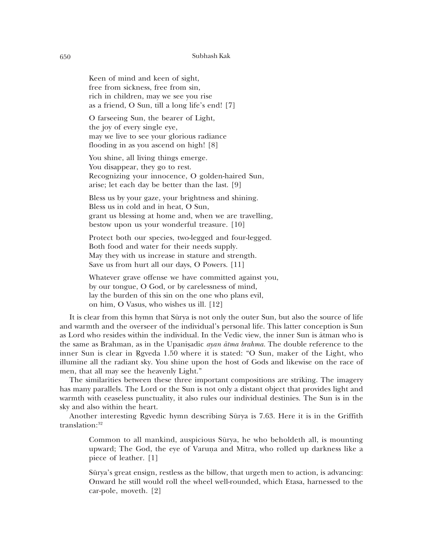Keen of mind and keen of sight, free from sickness, free from sin, rich in children, may we see you rise as a friend, O Sun, till a long life's end! [7]

O farseeing Sun, the bearer of Light, the joy of every single eye, may we live to see your glorious radiance flooding in as you ascend on high! [8]

You shine, all living things emerge. You disappear, they go to rest. Recognizing your innocence, O golden-haired Sun, arise; let each day be better than the last. [9]

Bless us by your gaze, your brightness and shining. Bless us in cold and in heat, O Sun, grant us blessing at home and, when we are travelling, bestow upon us your wonderful treasure. [10]

Protect both our species, two-legged and four-legged. Both food and water for their needs supply. May they with us increase in stature and strength. Save us from hurt all our days, O Powers. [11]

Whatever grave offense we have committed against you, by our tongue, O God, or by carelessness of mind, lay the burden of this sin on the one who plans evil, on him, O Vasus, who wishes us ill. [12]

It is clear from this hymn that Sūrya is not only the outer Sun, but also the source of life and warmth and the overseer of the individual's personal life. This latter conception is Sun as Lord who resides within the individual. In the Vedic view, the inner Sun is atman who is the same as Brahman, as in the Upanisadic *ayan atma brahma*. The double reference to the inner Sun is clear in Rgveda 1.50 where it is stated: "O Sun, maker of the Light, who illumine all the radiant sky. You shine upon the host of Gods and likewise on the race of men, that all may see the heavenly Light."

The similarities between these three important compositions are striking. The imagery has many parallels. The Lord or the Sun is not only a distant object that provides light and warmth with ceaseless punctuality, it also rules our individual destinies. The Sun is in the sky and also within the heart.

Another interesting Revedic hymn describing Sūrya is 7.63. Here it is in the Griffith translation:<sup>32</sup>

Common to all mankind, auspicious Sūrya, he who beholdeth all, is mounting upward; The God, the eye of Varuna and Mitra, who rolled up darkness like a piece of leather. [1]

Sūrya's great ensign, restless as the billow, that urgeth men to action, is advancing: Onward he still would roll the wheel well-rounded, which Etasa, harnessed to the car-pole, moveth. [2]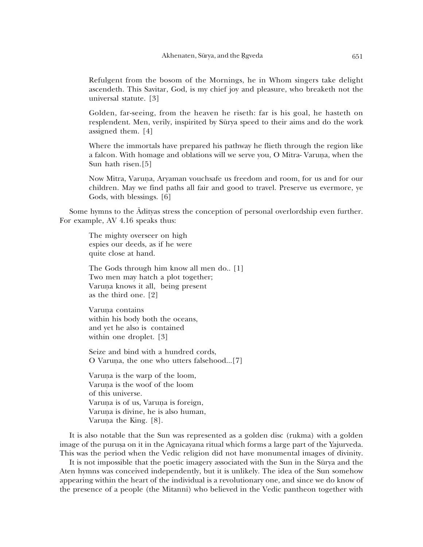Refulgent from the bosom of the Mornings, he in Whom singers take delight ascendeth. This Savitar, God, is my chief joy and pleasure, who breaketh not the universal statute. [3]

Golden, far-seeing, from the heaven he riseth: far is his goal, he hasteth on resplendent. Men, verily, inspirited by Sūrya speed to their aims and do the work assigned them. [4]

Where the immortals have prepared his pathway he flieth through the region like a falcon. With homage and oblations will we serve you, O Mitra-Varuna, when the Sun hath risen.[5]

Now Mitra, Varuna, Aryaman vouchsafe us freedom and room, for us and for our children. May we find paths all fair and good to travel. Preserve us evermore, ye Gods, with blessings. [6]

Some hymns to the Adityas stress the conception of personal overlordship even further. For example, AV 4.16 speaks thus:

The mighty overseer on high espies our deeds, as if he were quite close at hand.

The Gods through him know all men do. [1] Two men may hatch a plot together; Varuna knows it all, being present as the third one. [2]

Varuna contains within his body both the oceans, and yet he also is contained within one droplet. [3]

Seize and bind with a hundred cords, O Varuna, the one who utters falsehood...[7]

Varuna is the warp of the loom, Varuna is the woof of the loom of this universe. Varuna is of us, Varuna is foreign, Varuna is divine, he is also human, Varuna the King. [8].

It is also notable that the Sun was represented as a golden disc (rukma) with a golden image of the purusa on it in the Agnicayana ritual which forms a large part of the Yajurveda. This was the period when the Vedic religion did not have monumental images of divinity.

It is not impossible that the poetic imagery associated with the Sun in the Sūrya and the Aten hymns was conceived independently, but it is unlikely. The idea of the Sun somehow appearing within the heart of the individual is a revolutionary one, and since we do know of the presence of a people (the Mitanni) who believed in the Vedic pantheon together with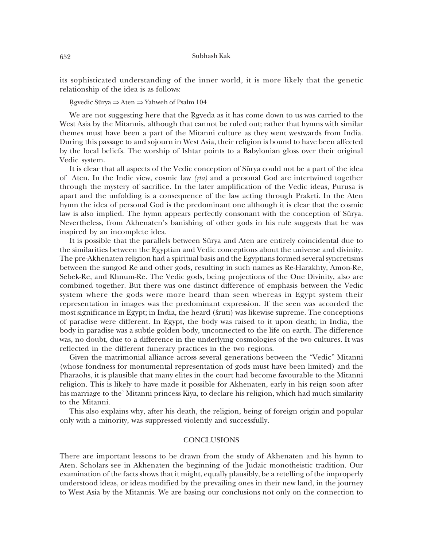its sophisticated understanding of the inner world, it is more likely that the genetic relationship of the idea is as follows:

Rgvedic Sūrya  $\Rightarrow$  Aten  $\Rightarrow$  Yahweh of Psalm 104

We are not suggesting here that the Rgyeda as it has come down to us was carried to the West Asia by the Mitannis, although that cannot be ruled out; rather that hymns with similar themes must have been a part of the Mitanni culture as they went westwards from India. During this passage to and sojourn in West Asia, their religion is bound to have been affected by the local beliefs. The worship of Ishtar points to a Babylonian gloss over their original Vedic system.

It is clear that all aspects of the Vedic conception of Surya could not be a part of the idea of Aten. In the Indic view, cosmic law  $(rta)$  and a personal God are intertwined together through the mystery of sacrifice. In the later amplification of the Vedic ideas, Purusa is apart and the unfolding is a consequence of the law acting through Prakrti. In the Aten hymn the idea of personal God is the predominant one although it is clear that the cosmic law is also implied. The hymn appears perfectly consonant with the conception of Sūrya. Nevertheless, from Akhenaten's banishing of other gods in his rule suggests that he was inspired by an incomplete idea.

It is possible that the parallels between Sūrya and Aten are entirely coincidental due to the similarities between the Egyptian and Vedic conceptions about the universe and divinity. The pre-Akhenaten religion had a spiritual basis and the Egyptians formed several syncretisms between the sungod Re and other gods, resulting in such names as Re-Harakhty, Amon-Re, Sebek-Re, and Khnum-Re. The Vedic gods, being projections of the One Divinity, also are combined together. But there was one distinct difference of emphasis between the Vedic system where the gods were more heard than seen whereas in Egypt system their representation in images was the predominant expression. If the seen was accorded the most significance in Egypt; in India, the heard (struti) was likewise supreme. The conceptions of paradise were different. In Egypt, the body was raised to it upon death; in India, the body in paradise was a subtle golden body, unconnected to the life on earth. The difference was, no doubt, due to a difference in the underlying cosmologies of the two cultures. It was reflected in the different funerary practices in the two regions.

Given the matrimonial alliance across several generations between the "Vedic" Mitanni (whose fondness for monumental representation of gods must have been limited) and the Pharaohs, it is plausible that many elites in the court had become favourable to the Mitanni religion. This is likely to have made it possible for Akhenaten, early in his reign soon after his marriage to the' Mitanni princess Kiya, to declare his religion, which had much similarity to the Mitanni.

This also explains why, after his death, the religion, being of foreign origin and popular only with a minority, was suppressed violently and successfully.

### **CONCLUSIONS**

There are important lessons to be drawn from the study of Akhenaten and his hymn to Aten. Scholars see in Akhenaten the beginning of the Judaic monotheistic tradition. Our examination of the facts shows that it might, equally plausibly, be a retelling of the improperly understood ideas, or ideas modified by the prevailing ones in their new land, in the journey to West Asia by the Mitannis. We are basing our conclusions not only on the connection to

652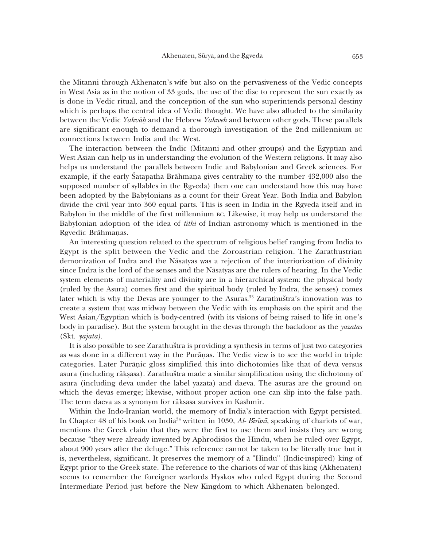the Mitanni through Akhenatcn's wife but also on the pervasiveness of the Vedic concepts in West Asia as in the notion of 33 gods, the use of the disc to represent the sun exactly as is done in Vedic ritual, and the conception of the sun who superintends personal destiny which is perhaps the central idea of Vedic thought. We have also alluded to the similarity between the Vedic Yahváh and the Hebrew Yahwah and between other gods. These parallels are significant enough to demand a thorough investigation of the 2nd millennium BC connections between India and the West.

The interaction between the Indic (Mitanni and other groups) and the Egyptian and West Asian can help us in understanding the evolution of the Western religions. It may also helps us understand the parallels between Indic and Babylonian and Greek sciences. For example, if the early Satapatha Brāhmana gives centrality to the number 432,000 also the supposed number of syllables in the Rgveda) then one can understand how this may have been adopted by the Babylonians as a count for their Great Year. Both India and Babylon divide the civil year into 360 equal parts. This is seen in India in the Reyeda itself and in Babylon in the middle of the first millennium BC. Likewise, it may help us understand the Babylonian adoption of the idea of *tithi* of Indian astronomy which is mentioned in the Rgyedic Brāhmanas.

An interesting question related to the spectrum of religious belief ranging from India to Egypt is the split between the Vedic and the Zoroastrian religion. The Zarathustrian demonization of Indra and the Nāsatyas was a rejection of the interiorization of divinity since Indra is the lord of the senses and the Nasatyas are the rulers of hearing. In the Vedic system elements of materiality and divinity are in a hierarchical system: the physical body (ruled by the Asura) comes first and the spiritual body (ruled by Indra, the senses) comes later which is why the Devas are younger to the Asuras.<sup>33</sup> Zarathuštra's innovation was to create a system that was midway between the Vedic with its emphasis on the spirit and the West Asian/Egyptian which is body-centred (with its visions of being raised to life in one's body in paradise). But the system brought in the devas through the backdoor as the vazatas  $(Skt. yajata).$ 

It is also possible to see Zarathustra is providing a synthesis in terms of just two categories as was done in a different way in the Purānas. The Vedic view is to see the world in triple categories. Later Puranic gloss simplified this into dichotomies like that of deva versus asura (including rākṣasa). Zarathuštra made a similar simplification using the dichotomy of asura (including deva under the label yazata) and daeva. The asuras are the ground on which the devas emerge; likewise, without proper action one can slip into the false path. The term daeva as a synonym for rāksasa survives in Kashmir.

Within the Indo-Iranian world, the memory of India's interaction with Egypt persisted. In Chapter 48 of his book on India<sup>34</sup> written in 1030,  $Al$ - Bīrūnī, speaking of chariots of war, mentions the Greek claim that they were the first to use them and insists they are wrong because "they were already invented by Aphrodisios the Hindu, when he ruled over Egypt, about 900 years after the deluge." This reference cannot be taken to be literally true but it is, nevertheless, significant. It preserves the memory of a "Hindu" (Indic-inspired) king of Egypt prior to the Greek state. The reference to the chariots of war of this king (Akhenaten) seems to remember the foreigner warlords Hyskos who ruled Egypt during the Second Intermediate Period just before the New Kingdom to which Akhenaten belonged.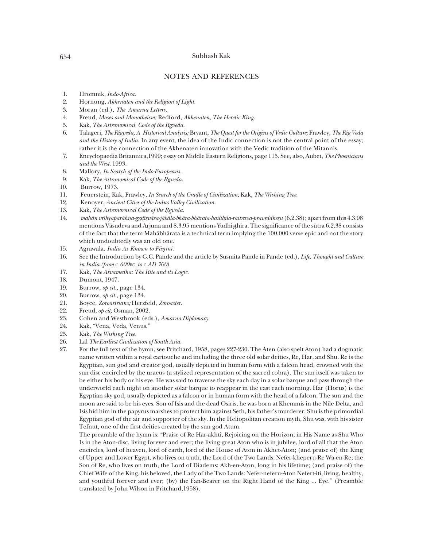## **NOTES AND REFERENCES**

- 1. Hromnik, Indo-Africa.
- 2. Hornung, Akhenaten and the Religion of Light.
- 3. Moran (ed.), The Amarna Letters.
- $\overline{4}$ . Freud, Moses and Monotheism; Redford, Akhenaten, The Heretic King.
- 5. Kak, The Astronomical Code of the Rgveda.
- 6. Talageri, The Rigveda, A Historical Analysis; Bryant, The Quest for the Origins of Vedic Culture; Frawley, The Rig Veda and the History of India. In any event, the idea of the Indic connection is not the central point of the essay; rather it is the connection of the Akhenaten innovation with the Vedic tradition of the Mitannis.
- $7.$ Encyclopaedia Britannica, 1999; essay on Middle Eastern Religions, page 115. See, also, Aubet, The Phoenicians and the West. 1993.
- 8. Mallory, In Search of the Indo-Europeans.
- 9. Kak, The Astronomical Code of the Rgveda.
- 10. Burrow, 1973.
- 11. Feuerstein, Kak, Frawley, In Search of the Cradle of Civilization; Kak, The Wishing Tree.
- 12. Kenoyer, Ancient Cities of the Indus Valley Civilization.
- 13. Kak, The Astronornical Code of the Rgveda.
- 14. mahān vrīhyaparāhna-grstīsvāsa-jābāla-bhāra-bhārata-hailihila-raurava-pravrddhesu (6.2.38); apart from this 4.3.98 mentions Väsudeva and Arjuna and 8.3.95 mentions Yudhisthira. The significance of the sūtra 6.2.38 consists of the fact that the term Mahābhārata is a technical term implying the 100,000 verse epic and not the story which undoubtedly was an old one.
- $15.$ Agrawala, India As Known to Pāṇini.
- See the Introduction by G.C. Pande and the article by Susmita Pande in Pande (ed.), Life, Thought and Culture 16. in India (from c  $600BC$  to c AD 300).
- 17. Kak, The Asvamedha: The Rite and its Logic.
- 18. Dumont, 1947.
- 19. Burrow, op cit., page 134.
- 20. Burrow, op cit., page 134.
- 21. Boyce, Zoroastrians; Herzfeld, Zoroaster.
- 22. Freud, op cit; Osman, 2002.
- 23. Cohen and Westbrook (eds.), Amarna Diplomacy.
- 24. Kak, "Vena, Veda, Venus."
- 25. Kak, The Wishing Tree.
- 26. Lal The Earliest Civilization of South Asia.
- 27. For the full text of the hymn, see Pritchard, 1958, pages 227-230. The Aten (also spelt Aton) had a dogmatic name written within a royal cartouche and including the three old solar deities, Re, Har, and Shu. Re is the Egyptian, sun god and creator god, usually depicted in human form with a falcon head, crowned with the sun disc encircled by the uraeus (a stylized representation of the sacred cobra). The sun itself was taken to be either his body or his eye. He was said to traverse the sky each day in a solar barque and pass through the underworld each night on another solar barque to reappear in the east each morning. Har (Horus) is the Egyptian sky god, usually depicted as a falcon or in human form with the head of a falcon. The sun and the moon are said to be his eyes. Son of Isis and the dead Osiris, he was born at Khemmis in the Nile Delta, and Isis hid him in the papyrus marshes to protect him against Seth, his father's murderer. Shu is the primordial Egyptian god of the air and supporter of the sky. In the Heliopolitan creation myth, Shu was, with his sister Tefnut, one of the first deities created by the sun god Atum.

The preamble of the hymn is: "Praise of Re Har-akhti, Rejoicing on the Horizon, in His Name as Shu Who Is in the Aton-disc, living forever and ever; the living great Aton who is in jubilee, lord of all that the Aton encircles, lord of heaven, lord of earth, lord of the House of Aton in Akhet-Aton; (and praise of) the King of Upper and Lower Egypt, who lives on truth, the Lord of the Two Lands: Nefer-kheperu-Re Wa-en-Re; the Son of Re, who lives on truth, the Lord of Diadems: Akh-en-Aton, long in his lifetime; (and praise of) the Chief Wife of the King, his beloved, the Lady of the Two Lands: Nefer-neferu-Aton Nefert-iti, living, healthy, and youthful forever and ever; (by) the Fan-Bearer on the Right Hand of the King ... Eye." (Preamble translated by John Wilson in Pritchard, 1958).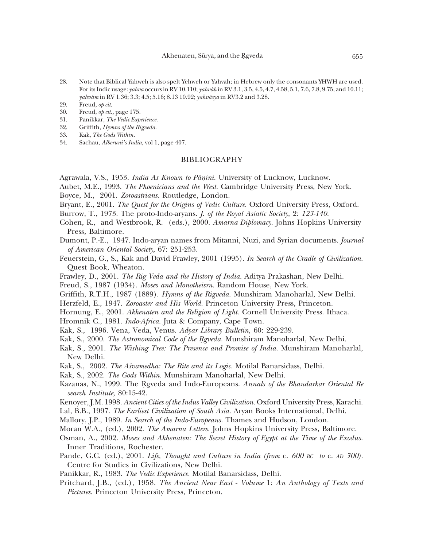Akhenaten, Sūrya, and the Rgveda

- 28. Note that Biblical Yahweh is also spelt Yehweh or Yahvah; in Hebrew only the consonants YHWH are used. For its Indic usage: *vahva* occurs in RV 10.110; *vahváh* in RV 3.1, 3.5, 4.5, 4.7, 4.58, 5.1, 7.6, 7.8, 9.75, and 10.11; yahvám in RV 1.36; 3.3; 4.5; 5.16; 8.13 10.92; yahvāsya in RV3.2 and 3.28.
- 29. Freud, op cit.
- Freud, op cit., page 175. 30.
- Panikkar, The Vedic Experience. 31.
- 32. Griffith, Hymns of the Rigveda.
- 33. Kak, The Gods Within.
- 34. Sachau, Alberuni's India, vol 1, page 407.

## **BIBLIOGRAPHY**

- Agrawala, V.S., 1953. *India As Known to Pānini*. University of Lucknow, Lucknow.
- Aubet, M.E., 1993. The Phoenicians and the West. Cambridge University Press, New York.
- Boyce, M., 2001. Zoroastrians. Routledge, London.
- Bryant, E., 2001. The Quest for the Origins of Vedic Culture. Oxford University Press, Oxford.
- Burrow, T., 1973. The proto-Indo-aryans. J. of the Royal Asiatic Society, 2: 123-140.
- Cohen, R., and Westbrook, R. (eds.), 2000. Amarna Diplomacy. Johns Hopkins University Press, Baltimore.
- Dumont, P.-E., 1947. Indo-aryan names from Mitanni, Nuzi, and Syrian documents. Journal of American Oriental Society, 67: 251-253.
- Feuerstein, G., S., Kak and David Frawley, 2001 (1995). In Search of the Cradle of Civilization. Quest Book, Wheaton.
- Frawley, D., 2001. The Rig Veda and the History of India. Aditya Prakashan, New Delhi.
- Freud, S., 1987 (1934). Moses and Monotheisrn. Random House, New York.
- Griffith, R.T.H., 1987 (1889). Hymns of the Rigveda. Munshiram Manoharlal, New Delhi.
- Herzfeld, E., 1947. Zoroaster and His World. Princeton University Press, Princeton.
- Hornung, E., 2001. Akhenaten and the Religion of Light. Cornell University Press. Ithaca.
- Hromnik C., 1981. Indo-Africa. Juta & Company, Cape Town.
- Kak, S., 1996. Vena, Veda, Venus. Adyar Library Bulletin, 60: 229-239.
- Kak, S., 2000. The Astronomical Code of the Reveda. Munshiram Manoharlal, New Delhi.
- Kak, S., 2001. The Wishing Tree: The Presence and Promise of India. Munshiram Manoharlal, New Delhi.
- Kak, S., 2002. The Asvamedha: The Rite and its Logic. Motilal Banarsidass, Delhi.
- Kak, S., 2002. The Gods Within. Munshiram Manoharlal, New Delhi.
- Kazanas, N., 1999. The Rgveda and Indo-Europeans. Annals of the Bhandarkar Oriental Re search Institute, 80:15-42.
- Kenoyer, J.M. 1998. Ancient Cities of the Indus Valley Civilization. Oxford University Press, Karachi.
- Lal, B.B., 1997. The Earliest Civilization of South Asia. Aryan Books International, Delhi.
- Mallory, J.P., 1989. In Search of the Indo-Europeans. Thames and Hudson, London.
- Moran W.A., (ed.), 2002. The Amarna Letters. Johns Hopkins University Press, Baltimore.
- Osman, A., 2002. Moses and Akhenaten: The Secret History of Egypt at the Time of the Exodus. Inner Traditions, Rochester.
- Pande, G.C. (ed.), 2001. Life, Thought and Culture in India (from c. 600 BC to c. AD 300). Centre for Studies in Civilizations, New Delhi.
- Panikkar, R., 1983. The Vedic Experience. Motilal Banarsidass, Delhi.
- Pritchard, J.B., (ed.), 1958. The Ancient Near East Volume 1: An Anthology of Texts and Pictures. Princeton University Press, Princeton.